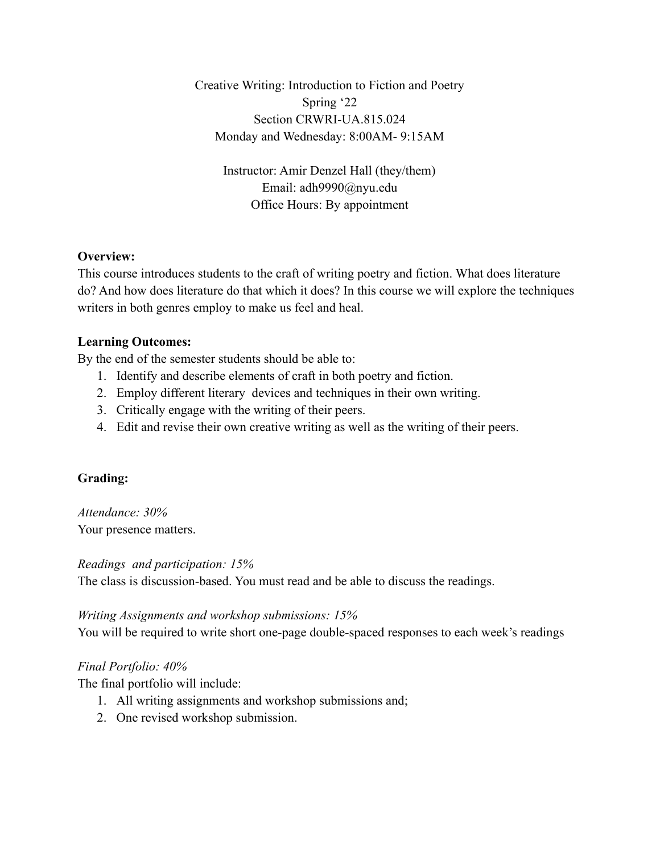Creative Writing: Introduction to Fiction and Poetry Spring '22 Section CRWRI-UA.815.024 Monday and Wednesday: 8:00AM- 9:15AM

> Instructor: Amir Denzel Hall (they/them) Email: adh9990@nyu.edu Office Hours: By appointment

# **Overview:**

This course introduces students to the craft of writing poetry and fiction. What does literature do? And how does literature do that which it does? In this course we will explore the techniques writers in both genres employ to make us feel and heal.

# **Learning Outcomes:**

By the end of the semester students should be able to:

- 1. Identify and describe elements of craft in both poetry and fiction.
- 2. Employ different literary devices and techniques in their own writing.
- 3. Critically engage with the writing of their peers.
- 4. Edit and revise their own creative writing as well as the writing of their peers.

# **Grading:**

*Attendance: 30%* Your presence matters.

*Readings and participation: 15%* The class is discussion-based. You must read and be able to discuss the readings.

## *Writing Assignments and workshop submissions: 15%*

You will be required to write short one-page double-spaced responses to each week's readings

# *Final Portfolio: 40%*

The final portfolio will include:

- 1. All writing assignments and workshop submissions and;
- 2. One revised workshop submission.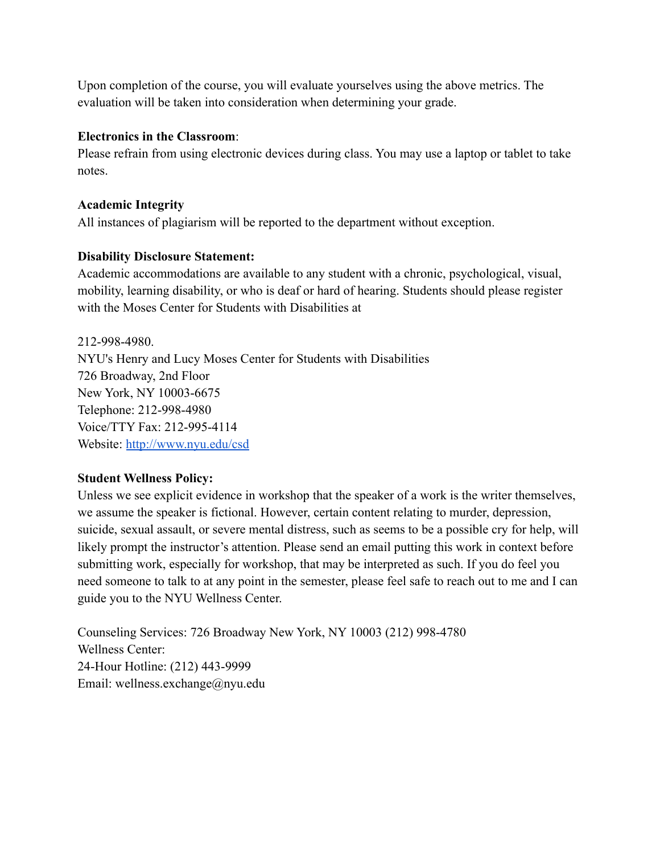Upon completion of the course, you will evaluate yourselves using the above metrics. The evaluation will be taken into consideration when determining your grade.

## **Electronics in the Classroom**:

Please refrain from using electronic devices during class. You may use a laptop or tablet to take notes.

# **Academic Integrity**

All instances of plagiarism will be reported to the department without exception.

# **Disability Disclosure Statement:**

Academic accommodations are available to any student with a chronic, psychological, visual, mobility, learning disability, or who is deaf or hard of hearing. Students should please register with the Moses Center for Students with Disabilities at

212-998-4980. NYU's Henry and Lucy Moses Center for Students with Disabilities 726 Broadway, 2nd Floor New York, NY 10003-6675 Telephone: 212-998-4980 Voice/TTY Fax: 212-995-4114 Website: <http://www.nyu.edu/csd>

## **Student Wellness Policy:**

Unless we see explicit evidence in workshop that the speaker of a work is the writer themselves, we assume the speaker is fictional. However, certain content relating to murder, depression, suicide, sexual assault, or severe mental distress, such as seems to be a possible cry for help, will likely prompt the instructor's attention. Please send an email putting this work in context before submitting work, especially for workshop, that may be interpreted as such. If you do feel you need someone to talk to at any point in the semester, please feel safe to reach out to me and I can guide you to the NYU Wellness Center.

Counseling Services: 726 Broadway New York, NY 10003 (212) 998-4780 Wellness Center: 24-Hour Hotline: (212) 443-9999 Email: wellness.exchange@nyu.edu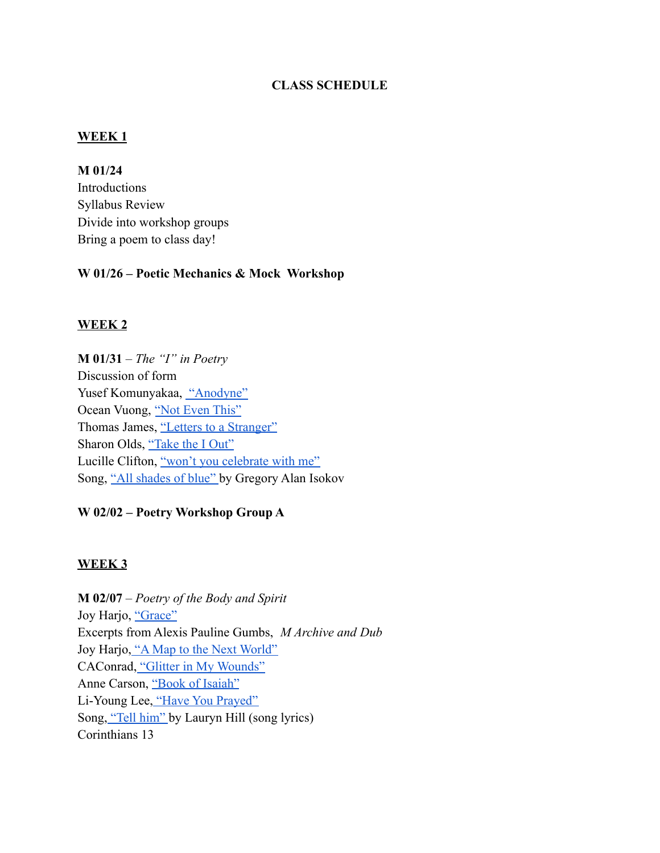### **CLASS SCHEDULE**

#### **WEEK 1**

**M 01/24**

Introductions Syllabus Review Divide into workshop groups Bring a poem to class day!

#### **W 01/26 – Poetic Mechanics & Mock Workshop**

### **WEEK 2**

**M 01/31** – *The "I" in Poetry* Discussion of form Yusef Komunyakaa, ["Anodyne"](https://poetrysociety.org/features/ars-poetica/yusef-komunyakaa) Ocean Vuong, ["Not Even This"](https://www.poetryfoundation.org/poetrymagazine/poems/152940/not-even-this) Thomas James, ["Letters to a Stranger"](https://www.poetryfoundation.org/poems/51712/letters-to-a-stranger) Sharon Olds, ["Take the I Out"](https://poets.org/poem/take-i-out) Lucille Clifton, ["won't you celebrate with me"](https://www.poetryfoundation.org/poems/50974/wont-you-celebrate-with-me) Song, ["All shades of blue"](https://www.youtube.com/watch?v=WhJXlb10UtE) by Gregory Alan Isokov

### **W 02/02 – Poetry Workshop Group A**

#### **WEEK 3**

**M 02/07** – *Poetry of the Body and Spirit* Joy Harjo, ["Grace"](https://www.poetryfoundation.org/poems/51641/grace-56d22f847bb9e) Excerpts from Alexis Pauline Gumbs, *M Archive and Dub* Joy Harjo, ["A Map to the Next World"](https://www.poetryfoundation.org/poems/49621/a-map-to-the-next-world) CAConrad, ["Glitter in My Wounds"](https://www.poetryfoundation.org/poetrymagazine/poems/148106/glitter-in-my-wounds) Anne Carson, ["Book of Isaiah"](https://www.poetryfoundation.org/poems/48635/book-of-isaiah-part-i) Li-Young Lee, ["Have You Prayed"](https://www.poetryfoundation.org/poems/52208/have-you-prayed) Song, ["Tell him"](https://www.youtube.com/watch?v=fse2hyTvMy0) by Lauryn Hill (song lyrics) Corinthians 13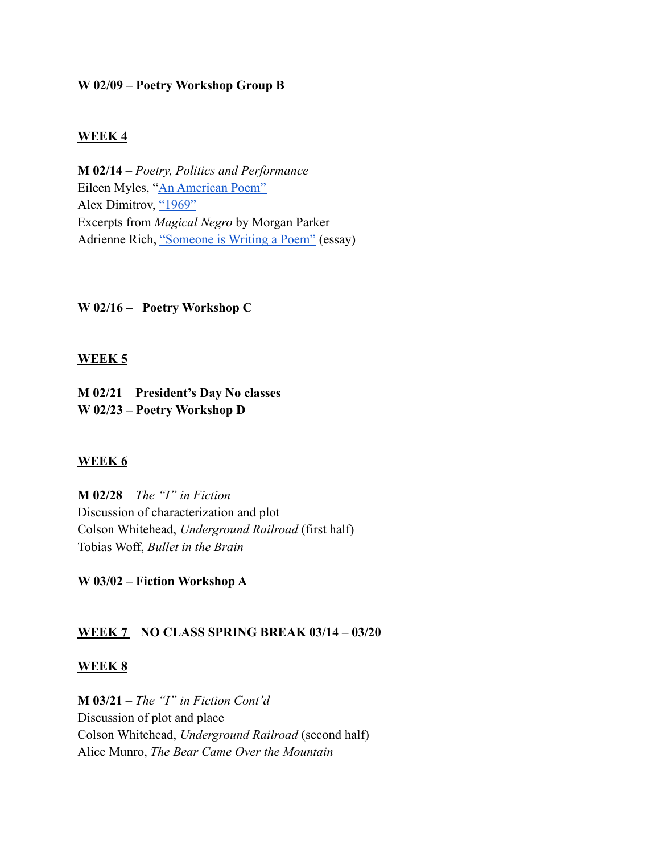### **W 02/09 – Poetry Workshop Group B**

### **WEEK 4**

**M 02/14** – *Poetry, Politics and Performance* Eileen Myles, "[An American Poem"](https://www.poetryfoundation.org/poems/53965/an-american-poem) Alex Dimitrov, ["1969"](https://www.poetryfoundation.org/poetrymagazine/poems/147624/1969) Excerpts from *Magical Negro* by Morgan Parker Adrienne Rich, ["Someone is Writing a Poem"](https://www.poetryfoundation.org/articles/69530/someone-is-writing-a-poem) (essay)

**W 02/16 – Poetry Workshop C**

### **WEEK 5**

**M 02/21** – **President's Day No classes W 02/23 – Poetry Workshop D**

#### **WEEK 6**

**M 02/28** – *The "I" in Fiction* Discussion of characterization and plot Colson Whitehead, *Underground Railroad* (first half) Tobias Woff, *Bullet in the Brain*

**W 03/02 – Fiction Workshop A**

#### **WEEK 7** – **NO CLASS SPRING BREAK 03/14 – 03/20**

#### **WEEK 8**

**M 03/21** – *The "I" in Fiction Cont'd* Discussion of plot and place Colson Whitehead, *Underground Railroad* (second half) Alice Munro, *The Bear Came Over the Mountain*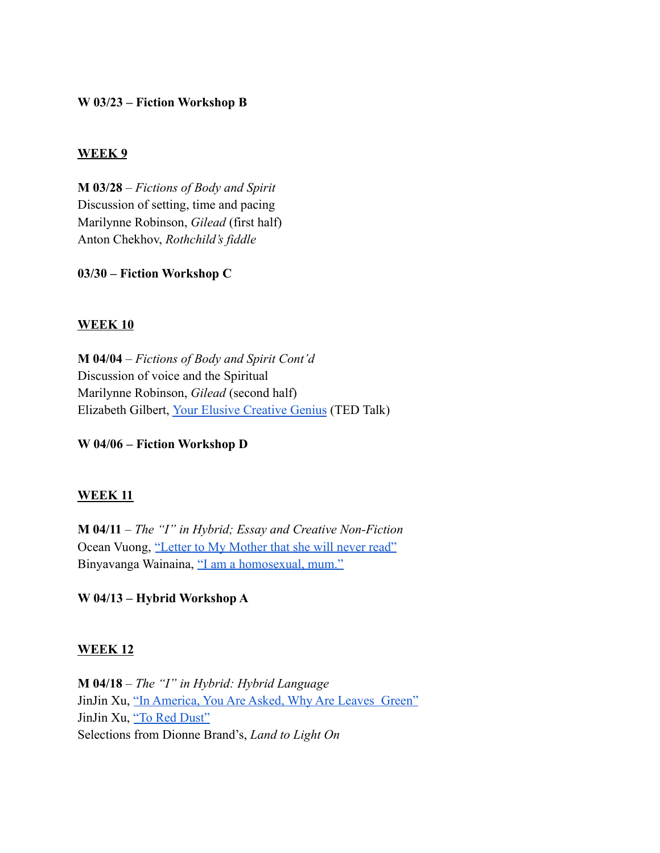### **W 03/23 – Fiction Workshop B**

#### **WEEK 9**

**M 03/28** – *Fictions of Body and Spirit* Discussion of setting, time and pacing Marilynne Robinson, *Gilead* (first half) Anton Chekhov, *Rothchild's fiddle*

**03/30 – Fiction Workshop C**

### **WEEK 10**

**M 04/04** – *Fictions of Body and Spirit Cont'd* Discussion of voice and the Spiritual Marilynne Robinson, *Gilead* (second half) Elizabeth Gilbert, [Your Elusive Creative Genius](https://www.ted.com/talks/elizabeth_gilbert_your_elusive_creative_genius) (TED Talk)

**W 04/06 – Fiction Workshop D**

#### **WEEK 11**

**M 04/11** – *The "I" in Hybrid; Essay and Creative Non-Fiction* Ocean Vuong, ["Letter to My Mother that she will never](https://www.newyorker.com/culture/personal-history/a-letter-to-my-mother-that-she-will-never-read) read" Binyavanga Wainaina, ["I am a homosexual, mum."](https://africasacountry.com/2014/01/i-am-a-homosexual-mum)

**W 04/13 – Hybrid Workshop A**

#### **WEEK 12**

**M 04/18** – *The "I" in Hybrid: Hybrid Language* JinJin Xu, ["In America, You Are Asked, Why Are Leaves](https://bwr.ua.edu/in-america-you-are-asked-why-are-leaves-green-jinjin-xu/) Green" JinJin Xu, ["To Red Dust"](https://www.thecommononline.org/october-poetry-feature-jinjin-xu/) Selections from Dionne Brand's, *Land to Light On*